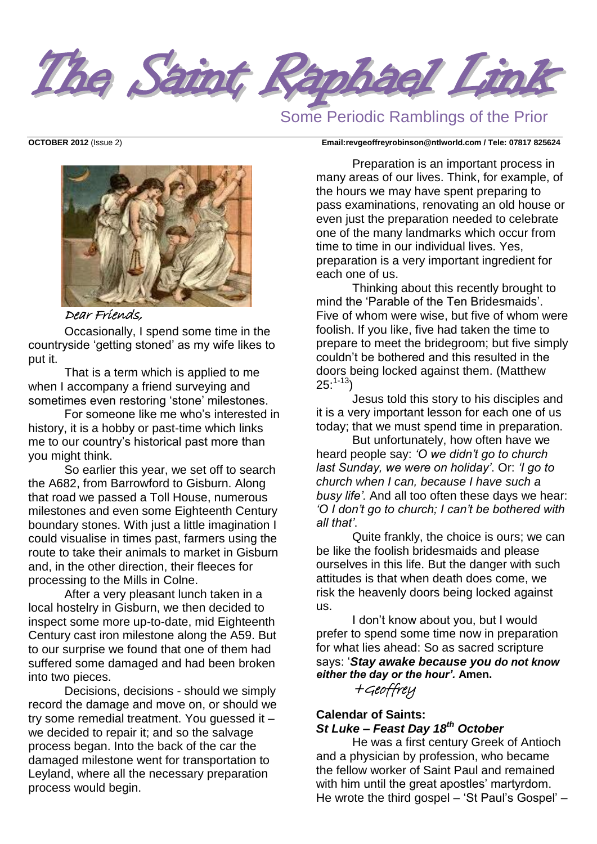

# Some Periodic Ramblings of the Prior





### Dear Friends,

Occasionally, I spend some time in the countryside 'getting stoned' as my wife likes to put it.

That is a term which is applied to me when I accompany a friend surveying and sometimes even restoring 'stone' milestones.

For someone like me who's interested in history, it is a hobby or past-time which links me to our country's historical past more than you might think.

So earlier this year, we set off to search the A682, from Barrowford to Gisburn. Along that road we passed a Toll House, numerous milestones and even some Eighteenth Century boundary stones. With just a little imagination I could visualise in times past, farmers using the route to take their animals to market in Gisburn and, in the other direction, their fleeces for processing to the Mills in Colne.

After a very pleasant lunch taken in a local hostelry in Gisburn, we then decided to inspect some more up-to-date, mid Eighteenth Century cast iron milestone along the A59. But to our surprise we found that one of them had suffered some damaged and had been broken into two pieces.

Decisions, decisions - should we simply record the damage and move on, or should we try some remedial treatment. You guessed it – we decided to repair it; and so the salvage process began. Into the back of the car the damaged milestone went for transportation to Leyland, where all the necessary preparation process would begin.

Preparation is an important process in many areas of our lives. Think, for example, of the hours we may have spent preparing to pass examinations, renovating an old house or even just the preparation needed to celebrate one of the many landmarks which occur from time to time in our individual lives. Yes, preparation is a very important ingredient for each one of us.

Thinking about this recently brought to mind the 'Parable of the Ten Bridesmaids'. Five of whom were wise, but five of whom were foolish. If you like, five had taken the time to prepare to meet the bridegroom; but five simply couldn't be bothered and this resulted in the doors being locked against them. (Matthew  $25:^{1-13}$ 

Jesus told this story to his disciples and it is a very important lesson for each one of us today; that we must spend time in preparation.

But unfortunately, how often have we heard people say: *'O we didn't go to church last Sunday, we were on holiday'*. Or: *'I go to church when I can, because I have such a busy life'.* And all too often these days we hear: *'O I don't go to church; I can't be bothered with all that'*.

Quite frankly, the choice is ours; we can be like the foolish bridesmaids and please ourselves in this life. But the danger with such attitudes is that when death does come, we risk the heavenly doors being locked against us.

I don't know about you, but I would prefer to spend some time now in preparation for what lies ahead: So as sacred scripture says: '*Stay awake because you do not know either the day or the hour'.* **Amen.**

+Geoffrey

### **Calendar of Saints:** *St Luke – Feast Day 18th October*

He was a first century Greek of Antioch and a physician by profession, who became the fellow worker of Saint Paul and remained with him until the great apostles' martyrdom. He wrote the third gospel – 'St Paul's Gospel' –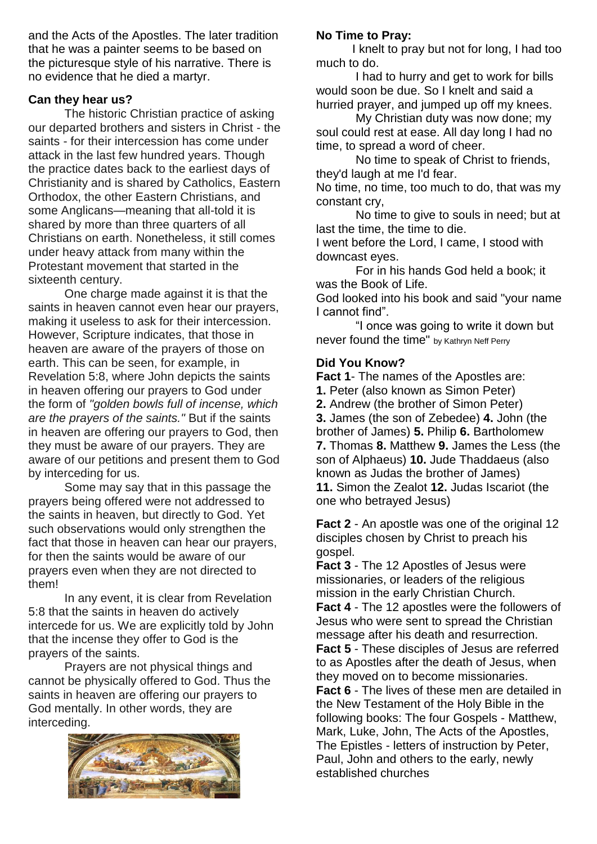and the Acts of the Apostles. The later tradition that he was a painter seems to be based on the picturesque style of his narrative. There is no evidence that he died a martyr.

### **Can they hear us?**

The historic Christian practice of asking our departed brothers and sisters in Christ - the saints - for their intercession has come under attack in the last few hundred years. Though the practice dates back to the earliest days of Christianity and is shared by Catholics, Eastern Orthodox, the other Eastern Christians, and some Anglicans—meaning that all-told it is shared by more than three quarters of all Christians on earth. Nonetheless, it still comes under heavy attack from many within the Protestant movement that started in the sixteenth century.

One charge made against it is that the saints in heaven cannot even hear our prayers, making it useless to ask for their intercession. However, Scripture indicates, that those in heaven are aware of the prayers of those on earth. This can be seen, for example, in Revelation 5:8, where John depicts the saints in heaven offering our prayers to God under the form of *"golden bowls full of incense, which are the prayers of the saints."* But if the saints in heaven are offering our prayers to God, then they must be aware of our prayers. They are aware of our petitions and present them to God by interceding for us.

Some may say that in this passage the prayers being offered were not addressed to the saints in heaven, but directly to God. Yet such observations would only strengthen the fact that those in heaven can hear our prayers, for then the saints would be aware of our prayers even when they are not directed to them!

In any event, it is clear from Revelation 5:8 that the saints in heaven do actively intercede for us. We are explicitly told by John that the incense they offer to God is the prayers of the saints.

Prayers are not physical things and cannot be physically offered to God. Thus the saints in heaven are offering our prayers to God mentally. In other words, they are interceding.



# **No Time to Pray:**

I knelt to pray but not for long, I had too much to do.

 I had to hurry and get to work for bills would soon be due. So I knelt and said a hurried prayer, and jumped up off my knees.

 My Christian duty was now done; my soul could rest at ease. All day long I had no time, to spread a word of cheer.

 No time to speak of Christ to friends, they'd laugh at me I'd fear.

No time, no time, too much to do, that was my constant cry,

 No time to give to souls in need; but at last the time, the time to die.

I went before the Lord, I came, I stood with downcast eyes.

 For in his hands God held a book; it was the Book of Life.

God looked into his book and said "your name I cannot find".

"I once was going to write it down but never found the time" by Kathryn Neff Perry

# **Did You Know?**

**Fact 1**- The names of the Apostles are: **1.** Peter (also known as Simon Peter) **2.** Andrew (the brother of Simon Peter) **3.** James (the son of Zebedee) **4.** John (the brother of James) **5.** Philip **6.** Bartholomew **7.** Thomas **8.** Matthew **9.** James the Less (the son of Alphaeus) **10.** Jude Thaddaeus (also known as Judas the brother of James) **11.** Simon the Zealot **12.** Judas Iscariot (the one who betrayed Jesus)

**Fact 2** - An apostle was one of the original 12 disciples chosen by Christ to preach his gospel.

**Fact 3** - The 12 Apostles of Jesus were missionaries, or leaders of the religious mission in the early Christian Church.

**Fact 4** - The 12 apostles were the followers of Jesus who were sent to spread the Christian message after his death and resurrection.

**Fact 5** - These disciples of Jesus are referred to as Apostles after the death of Jesus, when they moved on to become missionaries.

**Fact 6** - The lives of these men are detailed in the New Testament of the Holy Bible in the following books: The four Gospels - Matthew, Mark, Luke, John, The Acts of the Apostles, The Epistles - letters of instruction by Peter, Paul, John and others to the early, newly established churches